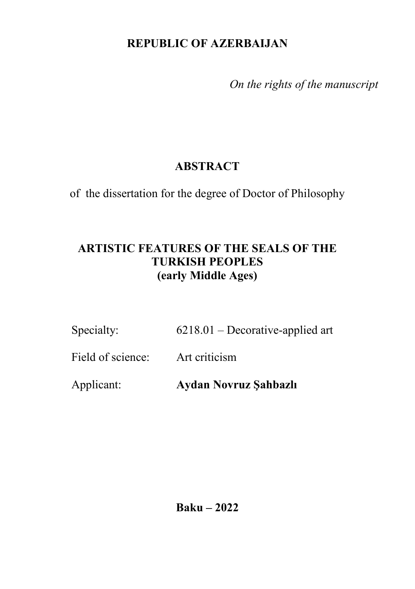### **REPUBLIC OF AZERBAIJAN**

 *On the rights of the manuscript*

# **ABSTRACT**

of the dissertation for the degree of Doctor of Philosophy

## **ARTISTIC FEATURES OF THE SEALS OF THE TURKISH PEOPLES (early Middle Ages)**

| Specialty: | $6218.01$ – Decorative-applied art |
|------------|------------------------------------|
|------------|------------------------------------|

Field of science: Art criticism

Applicant: **Aydan Novruz Şahbazlı**

**Baku – 2022**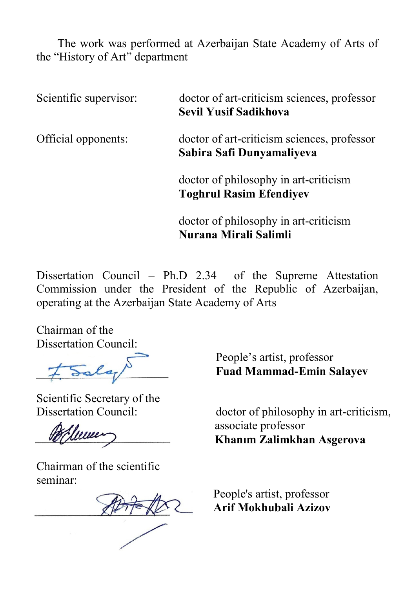The work was performed at Azerbaijan State Academy of Arts of the "History of Art" department

| Scientific supervisor: | doctor of art-criticism sciences, professor<br><b>Sevil Yusif Sadikhova</b> |
|------------------------|-----------------------------------------------------------------------------|
| Official opponents:    | doctor of art-criticism sciences, professor<br>Sabira Safi Dunyamaliyeva    |
|                        | doctor of philosophy in art-criticism<br><b>Toghrul Rasim Efendiyev</b>     |
|                        | doctor of philosophy in art-criticism<br>Nurana Mirali Salimli              |

Dissertation Council – Ph.D 2.34 of the Supreme Attestation Commission under the President of the Republic of Azerbaijan, operating at the Azerbaijan State Academy of Arts

Chairman of the

Dissertation Council:

Scientific Secretary of the<br>Dissertation Council:

Chairman of the scientific seminar:

 People's artist, professor **Fuad Mammad-Emin Salayev**

doctor of philosophy in art-criticism, associate professor **Khanım Zalimkhan Asgerova** 

 People's artist, professor  **Arif Mokhubali Azizov**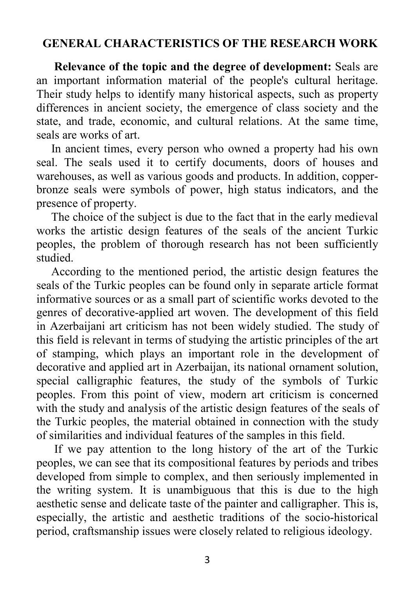### **GENERAL CHARACTERISTICS OF THE RESEARCH WORK**

 **Relevance of the topic and the degree of development:** Seals are an important information material of the people's cultural heritage. Their study helps to identify many historical aspects, such as property differences in ancient society, the emergence of class society and the state, and trade, economic, and cultural relations. At the same time, seals are works of art.

 In ancient times, every person who owned a property had his own seal. The seals used it to certify documents, doors of houses and warehouses, as well as various goods and products. In addition, copperbronze seals were symbols of power, high status indicators, and the presence of property.

 The choice of the subject is due to the fact that in the early medieval works the artistic design features of the seals of the ancient Turkic peoples, the problem of thorough research has not been sufficiently studied.

 According to the mentioned period, the artistic design features the seals of the Turkic peoples can be found only in separate article format informative sources or as a small part of scientific works devoted to the genres of decorative-applied art woven. The development of this field in Azerbaijani art criticism has not been widely studied. The study of this field is relevant in terms of studying the artistic principles of the art of stamping, which plays an important role in the development of decorative and applied art in Azerbaijan, its national ornament solution, special calligraphic features, the study of the symbols of Turkic peoples. From this point of view, modern art criticism is concerned with the study and analysis of the artistic design features of the seals of the Turkic peoples, the material obtained in connection with the study of similarities and individual features of the samples in this field.

 If we pay attention to the long history of the art of the Turkic peoples, we can see that its compositional features by periods and tribes developed from simple to complex, and then seriously implemented in the writing system. It is unambiguous that this is due to the high aesthetic sense and delicate taste of the painter and calligrapher. This is, especially, the artistic and aesthetic traditions of the socio-historical period, craftsmanship issues were closely related to religious ideology.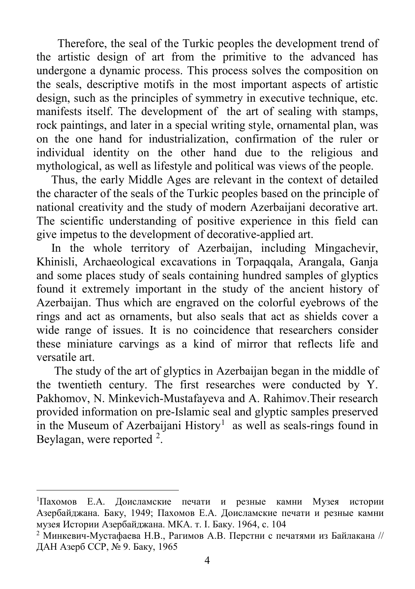Therefore, the seal of the Turkic peoples the development trend of the artistic design of art from the primitive to the advanced has undergone a dynamic process. This process solves the composition on the seals, descriptive motifs in the most important aspects of artistic design, such as the principles of symmetry in executive technique, etc. manifests itself. The development of the art of sealing with stamps, rock paintings, and later in a special writing style, ornamental plan, was on the one hand for industrialization, confirmation of the ruler or individual identity on the other hand due to the religious and mythological, as well as lifestyle and political was views of the people.

 Thus, the early Middle Ages are relevant in the context of detailed the character of the seals of the Turkic peoples based on the principle of national creativity and the study of modern Azerbaijani decorative art. The scientific understanding of positive experience in this field can give impetus to the development of decorative-applied art.

 In the whole territory of Azerbaijan, including Mingachevir, Khinisli, Archaeological excavations in Torpaqqala, Arangala, Ganja and some places study of seals containing hundred samples of glyptics found it extremely important in the study of the ancient history of Azerbaijan. Thus which are engraved on the colorful eyebrows of the rings and act as ornaments, but also seals that act as shields cover a wide range of issues. It is no coincidence that researchers consider these miniature carvings as a kind of mirror that reflects life and versatile art.

 The study of the art of glyptics in Azerbaijan began in the middle of the twentieth century. The first researches were conducted by Y. Pakhomov, N. Minkevich-Mustafayeva and A. Rahimov.Their research provided information on pre-Islamic seal and glyptic samples preserved in the Museum of Azerbaijani History<sup>[1](#page-3-0)</sup> as well as seals-rings found in Beylagan, were reported  $2$ .

l

<span id="page-3-0"></span><sup>1</sup> Пахомов Е.А. Доисламские печати и резные камни Музея истории Азербайджана. Баку, 1949; Пахомов E.A. Доисламские печати и резные камни музея Истории Азербайджана. МКА. т. I. Баку. 1964, с. 104

<span id="page-3-1"></span><sup>&</sup>lt;sup>2</sup> Минкевич-Мустафаева Н.В., Рагимов А.В. Перстни с печатями из Байлакана // ДАН Азерб ССР, № 9. Баку, 1965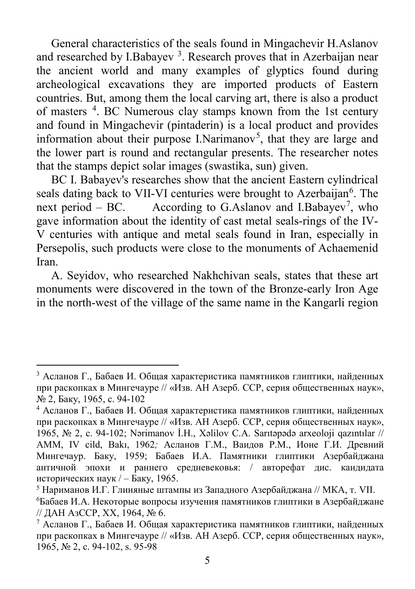General characteristics of the seals found in Mingachevir H.Aslanov and researched by I.Babayev<sup>[3](#page-4-0)</sup>. Research proves that in Azerbaijan near the ancient world and many examples of glyptics found during archeological excavations they are imported products of Eastern countries. But, among them the local carving art, there is also a product of masters <sup>[4](#page-4-1)</sup>. BC Numerous clay stamps known from the 1st century and found in Mingachevir (pintaderin) is a local product and provides information about their purpose I. Narimanov<sup>[5](#page-4-2)</sup>, that they are large and the lower part is round and rectangular presents. The researcher notes that the stamps depict solar images (swastika, sun) given.

 BC I. Babayev's researches show that the ancient Eastern cylindrical seals dating back to VII-VI centuries were brought to Azerbaijan<sup>[6](#page-4-3)</sup>. The next period  $-$  BC. According to G.Aslanov and I.Babayev<sup>[7](#page-4-4)</sup>, who gave information about the identity of cast metal seals-rings of the IV-V centuries with antique and metal seals found in Iran, especially in Persepolis, such products were close to the monuments of Achaemenid Iran.

 A. Seyidov, who researched Nakhchivan seals, states that these art monuments were discovered in the town of the Bronze-early Iron Age in the north-west of the village of the same name in the Kangarli region

 $\overline{a}$ 

<span id="page-4-0"></span><sup>&</sup>lt;sup>3</sup> Асланов Г., Бабаев И. Общая характеристика памятников глиптики, найденных при раскопках в Мингечауре // «Изв. АН Азерб. ССР, серия общественных наук», № 2, Баку, 1965, с. 94-102

<span id="page-4-1"></span><sup>4</sup> Асланов Г., Бабаев И. Общая характеристика памятников глиптики, найденных при раскопках в Мингечауре // «Изв. АН Азерб. ССР, серия общественных наук», 1965, № 2, с. 94-102; Nərimanov İ.H., Xəlilov C.A. Sarıtəpədə arxeoloji qazıntılar // AMM, IV cild, Bakı, 1962*;* Асланов Г.М., Ваидов Р.М., Ионе Г.И. Древний Мингечаур. Баку, 1959; Бабаев И.А. Памятники глиптики Азербайджана античной эпохи и раннего средневековья: / авторефат дис. кандидата исторических наук / – Баку, 1965.

<span id="page-4-2"></span><sup>5</sup> Нариманов И.Г. Глиняные штампы из Западного Азербайджана // МКА, т. VII. 6 Бабаев И.А. Некоторые вопросы изучения памятников глиптики в Азербайджане

<span id="page-4-3"></span><sup>//</sup> ДАН АзССР, XX, 1964, № 6.

<span id="page-4-4"></span><sup>&</sup>lt;sup>7</sup> Асланов Г., Бабаев И. Общая характеристика памятников глиптики, найденных при раскопках в Мингечауре // «Изв. АН Азерб. ССР, серия общественных наук», 1965, № 2, с. 94-102, s. 95-98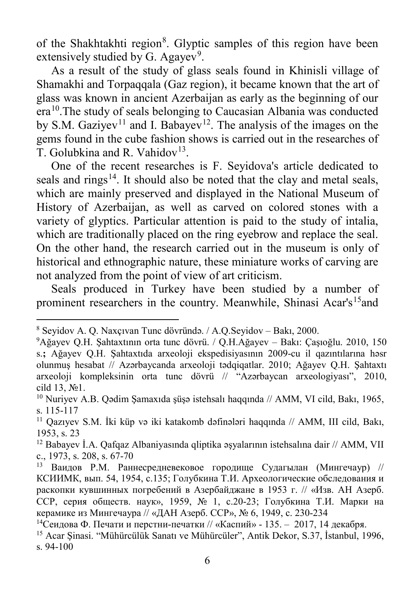of the Shakhtakhti region<sup>[8](#page-5-0)</sup>. Glyptic samples of this region have been extensively studied by G. Agayev<sup>[9](#page-5-1)</sup>.

 As a result of the study of glass seals found in Khinisli village of Shamakhi and Torpaqqala (Gaz region), it became known that the art of glass was known in ancient Azerbaijan as early as the beginning of our era[10](#page-5-2).The study of seals belonging to Caucasian Albania was conducted by S.M. Gaziyev<sup>[11](#page-5-3)</sup> and I. Babayev<sup>[12](#page-5-4)</sup>. The analysis of the images on the gems found in the cube fashion shows is carried out in the researches of T. Golubkina and R. Vahidov<sup>[13](#page-5-5)</sup>.

 One of the recent researches is F. Seyidova's article dedicated to seals and rings<sup>14</sup>. It should also be noted that the clay and metal seals, which are mainly preserved and displayed in the National Museum of History of Azerbaijan, as well as carved on colored stones with a variety of glyptics. Particular attention is paid to the study of intalia, which are traditionally placed on the ring eyebrow and replace the seal. On the other hand, the research carried out in the museum is only of historical and ethnographic nature, these miniature works of carving are not analyzed from the point of view of art criticism.

 Seals produced in Turkey have been studied by a number of prominent researchers in the country. Meanwhile, Shinasi Acar's<sup>15</sup>and

 $\overline{\phantom{a}}$ 

<span id="page-5-0"></span><sup>8</sup> Seyidov A. Q. Naxçıvan Tunc dövründə. / A.Q.Seyidov – Bakı, 2000.

<span id="page-5-1"></span><sup>9</sup> Ağayev Q.H. Şahtaxtının orta tunc dövrü. / Q.H.Ağayev – Bakı: Çaşıoğlu. 2010, 150 s.**;** Ağayev Q.H. Şahtaxtıda arxeoloji ekspedisiyasının 2009-cu il qazıntılarına həsr olunmuş hesabat // Azərbaycanda arxeoloji tədqiqatlar. 2010; Ağayev Q.H. Şahtaxtı arxeoloji kompleksinin orta tunc dövrü // "Azərbaycan arxeologiyası", 2010, cild 13, №1.

<span id="page-5-2"></span><sup>10</sup> Nuriyev A.B. Qədim Şamaxıda şüşə istehsalı haqqında // AMM, VI cild, Bakı, 1965, s. 115-117

<span id="page-5-3"></span><sup>11</sup> Qazıyev S.M. İki küp və iki katakomb dəfinələri haqqında // AMM, III cild, Bakı, 1953, s. 23

<span id="page-5-4"></span><sup>&</sup>lt;sup>12</sup> Babayev İ.A. Qafqaz Albaniyasında qliptika əşyalarının istehsalına dair // AMM, VII c., 1973, s. 208, s. 67-70

<span id="page-5-5"></span> $13$  Ваилов Р.М. Раннесредневековое городище Судагылан (Мингечаур) // КСИИМК, вып. 54, 1954, с.135; Голубкина Т.И. Археологические обследования и раскопки кувшинных погребений в Азербайджане в 1953 г. // «Изв. АН Азерб. ССР, серия обществ. наук», 1959, № 1, с.20-23; Голубкина Т.И. Марки на керамике из Мингечаура // «ДАН Азерб. ССР», № 6, 1949, с. 230-234

<span id="page-5-6"></span><sup>&</sup>lt;sup>14</sup>Сеидова Ф. Печати и перстни-печатки // «Каспий» - 135. – 2017, 14 декабря.

<span id="page-5-7"></span><sup>15</sup> Acar Şinasi. "Mühürcülük Sanatı ve Mühürcüler", Antik Dekor, S.37, İstanbul, 1996, s. 94-100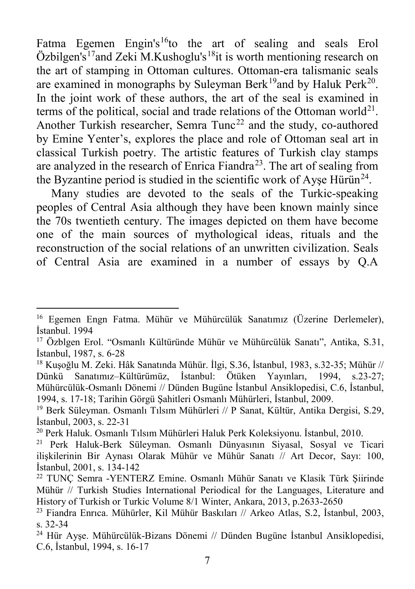Fatma Egemen Engin's<sup>[16](#page-6-0)</sup>to the art of sealing and seals Erol  $\ddot{\text{O}}$ zbilgen's<sup>[17](#page-6-1)</sup>and Zeki M.Kushoglu's<sup>18</sup>it is worth mentioning research on the art of stamping in Ottoman cultures. Ottoman-era talismanic seals are examined in monographs by Suleyman Berk<sup>[19](#page-6-3)</sup> and by Haluk Perk<sup>20</sup>. In the joint work of these authors, the art of the seal is examined in terms of the political, social and trade relations of the Ottoman world<sup>21</sup>. Another Turkish researcher, Semra Tunc<sup>[22](#page-6-6)</sup> and the study, co-authored by Emine Yenter's, explores the place and role of Ottoman seal art in classical Turkish poetry. The artistic features of Turkish clay stamps are analyzed in the research of Enrica Fiandra<sup>[23](#page-6-7)</sup>. The art of sealing from the Byzantine period is studied in the scientific work of Ayse Hürün<sup>[24](#page-6-8)</sup>.

 Many studies are devoted to the seals of the Turkic-speaking peoples of Central Asia although they have been known mainly since the 70s twentieth century. The images depicted on them have become one of the main sources of mythological ideas, rituals and the reconstruction of the social relations of an unwritten civilization. Seals of Central Asia are examined in a number of essays by Q.A

 $\overline{a}$ 

<span id="page-6-0"></span><sup>&</sup>lt;sup>16</sup> Egemen Engn Fatma. Mühür ve Mühürcülük Sanatımız (Üzerine Derlemeler), İstanbul. 1994

<span id="page-6-1"></span><sup>17</sup> Özblgen Erol. "Osmanlı Kültüründe Mühür ve Mühürcülük Sanatı", Antika, S.31, İstanbul, 1987, s. 6-28

<span id="page-6-2"></span><sup>18</sup> Kuşoğlu M. Zeki. Hâk Sanatında Mühür. İlgi, S.36, İstanbul, 1983, s.32-35; Mühür // Dünkü Sanatımız–Kültürümüz, İstanbul: Ötüken Yayınları, 1994, s.23-27; Mühürcülük-Osmanlı Dönemi // Dünden Bugüne İstanbul Ansiklopedisi, C.6, İstanbul, 1994, s. 17-18; Tarihin Görgü Şahitleri Osmanlı Mühürleri, İstanbul, 2009.

<span id="page-6-3"></span><sup>19</sup> Berk Süleyman. Osmanlı Tılsım Mühürleri // P Sanat, Kültür, Antika Dergisi, S.29, İstanbul, 2003, s. 22-31

<span id="page-6-4"></span><sup>20</sup> Perk Haluk. Osmanlı Tılsım Mühürleri Haluk Perk Koleksiyonu. İstanbul, 2010.

<span id="page-6-5"></span><sup>21</sup> Perk Haluk-Berk Süleyman. Osmanlı Dünyasının Siyasal, Sosyal ve Ticari ilişkilerinin Bir Aynası Olarak Mühür ve Mühür Sanatı // Art Decor, Sayı: 100, İstanbul, 2001, s. 134-142

<span id="page-6-6"></span><sup>22</sup> TUNÇ Semra -YENTERZ Emine. Osmanlı Mühür Sanatı ve Klasik Türk Şiirinde Mühür // Turkish Studies International Periodical for the Languages, Literature and History of Turkish or Turkic Volume 8/1 Winter, Ankara, 2013, p.2633-2650

<span id="page-6-7"></span><sup>23</sup> Fiandra Enrıca. Mühürler, Kil Mühür Baskıları // Arkeo Atlas, S.2, İstanbul, 2003, s. 32-34

<span id="page-6-8"></span><sup>24</sup> Hür Ayşe. Mühürcülük-Bizans Dönemi // Dünden Bugüne İstanbul Ansiklopedisi, C.6, İstanbul, 1994, s. 16-17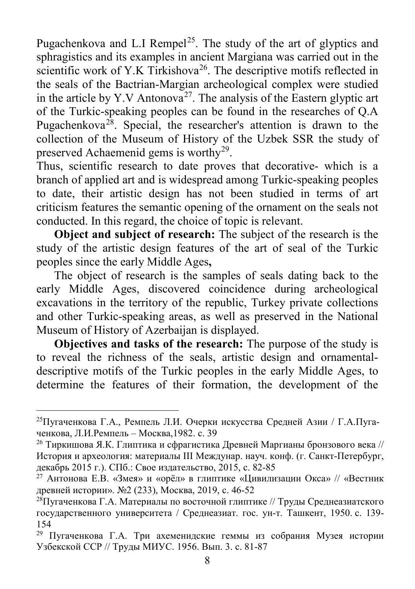Pugachenkova and L.I Rempel<sup>25</sup>. The study of the art of glyptics and sphragistics and its examples in ancient Margiana was carried out in the scientific work of Y.K Tirkishova<sup>26</sup>. The descriptive motifs reflected in the seals of the Bactrian-Margian archeological complex were studied in the article by Y.V Antonova<sup>27</sup>. The analysis of the Eastern glyptic art of the Turkic-speaking peoples can be found in the researches of Q.A Pugachenkova<sup>[28](#page-7-3)</sup>. Special, the researcher's attention is drawn to the collection of the Museum of History of the Uzbek SSR the study of preserved Achaemenid gems is worthy<sup>[29](#page-7-4)</sup>.

Thus, scientific research to date proves that decorative- which is a branch of applied art and is widespread among Turkic-speaking peoples to date, their artistic design has not been studied in terms of art criticism features the semantic opening of the ornament on the seals not conducted. In this regard, the choice of topic is relevant.

**Object and subject of research:** The subject of the research is the study of the artistic design features of the art of seal of the Turkic peoples since the early Middle Ages**,**

 The object of research is the samples of seals dating back to the early Middle Ages, discovered coincidence during archeological excavations in the territory of the republic, Turkey private collections and other Turkic-speaking areas, as well as preserved in the National Museum of History of Azerbaijan is displayed.

**Objectives and tasks of the research:** The purpose of the study is to reveal the richness of the seals, artistic design and ornamentaldescriptive motifs of the Turkic peoples in the early Middle Ages, to determine the features of their formation, the development of the

 $\overline{\phantom{a}}$ 

<span id="page-7-0"></span><sup>&</sup>lt;sup>25</sup>Пугаченкова Г.А., Ремпель Л.И. Очерки искусства Средней Азии / Г.А.Пугаченкова, Л.И.Ремпель – Москва,1982. с. 39

<span id="page-7-1"></span><sup>&</sup>lt;sup>26</sup> Тиркишова Я.К. Глиптика и сфрагистика Древней Маргианы бронзового века // История и археология: материалы III Междунар. науч. конф. (г. Санкт-Петербург, декабрь 2015 г.). СПб.: Свое издательство, 2015, с. 82-85

<span id="page-7-2"></span><sup>&</sup>lt;sup>27</sup> Антонова Е.В. «Змея» и «орёл» в глиптике «Цивилизации Окса» // «Вестник древней истории». №2 (233), Москва, 2019, с. 46-52

<span id="page-7-3"></span><sup>&</sup>lt;sup>28</sup>Пугаченкова Г.А. Материалы по восточной глиптике // Труды Среднеазиатского государственного университета / Среднеазиат. гос. ун-т. Ташкент, 1950. с. 139- 154

<span id="page-7-4"></span><sup>29</sup> Пугаченкова Г.А. Три ахеменидские геммы из собрания Музея истории Узбекской ССР // Труды МИУС. 1956. Вып. 3. с. 81-87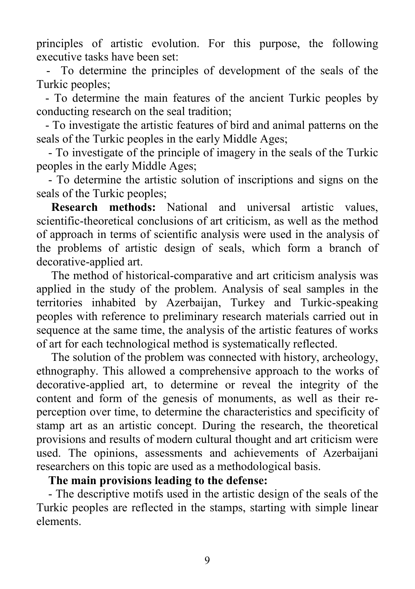principles of artistic evolution. For this purpose, the following executive tasks have been set:

To determine the principles of development of the seals of the Turkic peoples;

 - To determine the main features of the ancient Turkic peoples by conducting research on the seal tradition;

 - To investigate the artistic features of bird and animal patterns on the seals of the Turkic peoples in the early Middle Ages;

 - To investigate of the principle of imagery in the seals of the Turkic peoples in the early Middle Ages;

 - To determine the artistic solution of inscriptions and signs on the seals of the Turkic peoples;

**Research methods:** National and universal artistic values, scientific-theoretical conclusions of art criticism, as well as the method of approach in terms of scientific analysis were used in the analysis of the problems of artistic design of seals, which form a branch of decorative-applied art.

 The method of historical-comparative and art criticism analysis was applied in the study of the problem. Analysis of seal samples in the territories inhabited by Azerbaijan, Turkey and Turkic-speaking peoples with reference to preliminary research materials carried out in sequence at the same time, the analysis of the artistic features of works of art for each technological method is systematically reflected.

 The solution of the problem was connected with history, archeology, ethnography. This allowed a comprehensive approach to the works of decorative-applied art, to determine or reveal the integrity of the content and form of the genesis of monuments, as well as their reperception over time, to determine the characteristics and specificity of stamp art as an artistic concept. During the research, the theoretical provisions and results of modern cultural thought and art criticism were used. The opinions, assessments and achievements of Azerbaijani researchers on this topic are used as a methodological basis.

#### **The main provisions leading to the defense:**

 - The descriptive motifs used in the artistic design of the seals of the Turkic peoples are reflected in the stamps, starting with simple linear elements.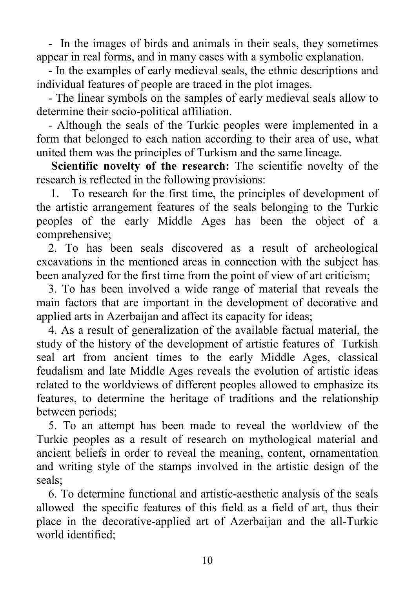- In the images of birds and animals in their seals, they sometimes appear in real forms, and in many cases with a symbolic explanation.

 - In the examples of early medieval seals, the ethnic descriptions and individual features of people are traced in the plot images.

 - The linear symbols on the samples of early medieval seals allow to determine their socio-political affiliation.

 - Although the seals of the Turkic peoples were implemented in a form that belonged to each nation according to their area of use, what united them was the principles of Turkism and the same lineage.

 **Scientific novelty of the research:** The scientific novelty of the research is reflected in the following provisions:

1. To research for the first time, the principles of development of the artistic arrangement features of the seals belonging to the Turkic peoples of the early Middle Ages has been the object of a comprehensive;

 2. To has been seals discovered as a result of archeological excavations in the mentioned areas in connection with the subject has been analyzed for the first time from the point of view of art criticism;

3. To has been involved a wide range of material that reveals the main factors that are important in the development of decorative and applied arts in Azerbaijan and affect its capacity for ideas;

 4. As a result of generalization of the available factual material, the study of the history of the development of artistic features of Turkish seal art from ancient times to the early Middle Ages, classical feudalism and late Middle Ages reveals the evolution of artistic ideas related to the worldviews of different peoples allowed to emphasize its features, to determine the heritage of traditions and the relationship between periods;

 5. To an attempt has been made to reveal the worldview of the Turkic peoples as a result of research on mythological material and ancient beliefs in order to reveal the meaning, content, ornamentation and writing style of the stamps involved in the artistic design of the seals;

 6. To determine functional and artistic-aesthetic analysis of the seals allowed the specific features of this field as a field of art, thus their place in the decorative-applied art of Azerbaijan and the all-Turkic world identified;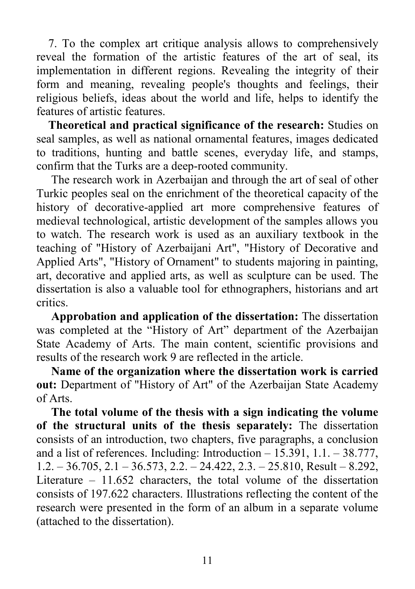7. To the complex art critique analysis allows to comprehensively reveal the formation of the artistic features of the art of seal, its implementation in different regions. Revealing the integrity of their form and meaning, revealing people's thoughts and feelings, their religious beliefs, ideas about the world and life, helps to identify the features of artistic features.

 **Theoretical and practical significance of the research:** Studies on seal samples, as well as national ornamental features, images dedicated to traditions, hunting and battle scenes, everyday life, and stamps, confirm that the Turks are a deep-rooted community.

 The research work in Azerbaijan and through the art of seal of other Turkic peoples seal on the enrichment of the theoretical capacity of the history of decorative-applied art more comprehensive features of medieval technological, artistic development of the samples allows you to watch. The research work is used as an auxiliary textbook in the teaching of "History of Azerbaijani Art", "History of Decorative and Applied Arts", "History of Ornament" to students majoring in painting, art, decorative and applied arts, as well as sculpture can be used. The dissertation is also a valuable tool for ethnographers, historians and art critics.

 **Approbation and application of the dissertation:** The dissertation was completed at the "History of Art" department of the Azerbaijan State Academy of Arts. The main content, scientific provisions and results of the research work 9 are reflected in the article.

 **Name of the organization where the dissertation work is carried out:** Department of "History of Art" of the Azerbaijan State Academy of Arts.

 **The total volume of the thesis with a sign indicating the volume of the structural units of the thesis separately:** The dissertation consists of an introduction, two chapters, five paragraphs, a conclusion and a list of references. Including: Introduction – 15.391, 1.1. – 38.777, 1.2. – 36.705, 2.1 – 36.573, 2.2. – 24.422, 2.3. – 25.810, Result – 8.292, Literature – 11.652 characters, the total volume of the dissertation consists of 197.622 characters. Illustrations reflecting the content of the research were presented in the form of an album in a separate volume (attached to the dissertation).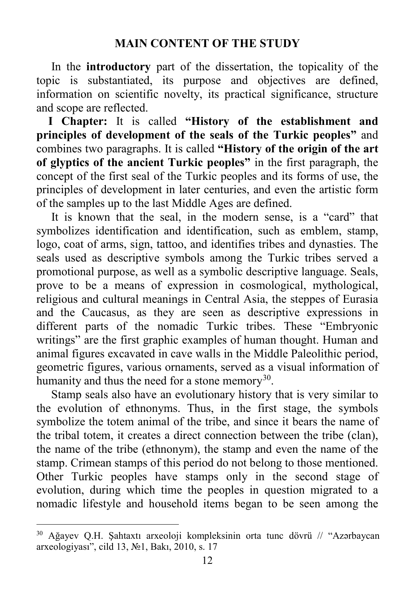In the **introductory** part of the dissertation, the topicality of the topic is substantiated, its purpose and objectives are defined, information on scientific novelty, its practical significance, structure and scope are reflected.

 **I Chapter:** It is called **"History of the establishment and principles of development of the seals of the Turkic peoples"** and combines two paragraphs. It is called **"History of the origin of the art of glyptics of the ancient Turkic peoples"** in the first paragraph, the concept of the first seal of the Turkic peoples and its forms of use, the principles of development in later centuries, and even the artistic form of the samples up to the last Middle Ages are defined.

 It is known that the seal, in the modern sense, is a "card" that symbolizes identification and identification, such as emblem, stamp, logo, coat of arms, sign, tattoo, and identifies tribes and dynasties. The seals used as descriptive symbols among the Turkic tribes served a promotional purpose, as well as a symbolic descriptive language. Seals, prove to be a means of expression in cosmological, mythological, religious and cultural meanings in Central Asia, the steppes of Eurasia and the Caucasus, as they are seen as descriptive expressions in different parts of the nomadic Turkic tribes. These "Embryonic writings" are the first graphic examples of human thought. Human and animal figures excavated in cave walls in the Middle Paleolithic period, geometric figures, various ornaments, served as a visual information of humanity and thus the need for a stone memory<sup>[30](#page-11-0)</sup>.

 Stamp seals also have an evolutionary history that is very similar to the evolution of ethnonyms. Thus, in the first stage, the symbols symbolize the totem animal of the tribe, and since it bears the name of the tribal totem, it creates a direct connection between the tribe (clan), the name of the tribe (ethnonym), the stamp and even the name of the stamp. Crimean stamps of this period do not belong to those mentioned. Other Turkic peoples have stamps only in the second stage of evolution, during which time the peoples in question migrated to a nomadic lifestyle and household items began to be seen among the

l

<span id="page-11-0"></span><sup>30</sup> Ağayev Q.H. Şahtaxtı arxeoloji kompleksinin orta tunc dövrü // "Azərbaycan arxeologiyası", cild 13, №1, Bakı, 2010, s. 17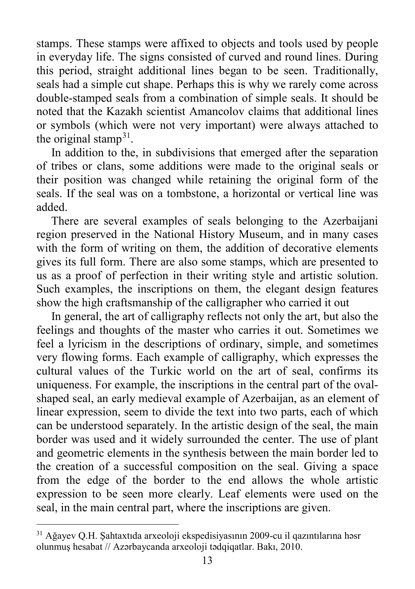stamps. These stamps were affixed to objects and tools used by people in everyday life. The signs consisted of curved and round lines. During this period, straight additional lines began to be seen. Traditionally, seals had a simple cut shape. Perhaps this is why we rarely come across double-stamped seals from a combination of simple seals. It should be noted that the Kazakh scientist Amancolov claims that additional lines or symbols (which were not very important) were always attached to the original stamp<sup>[31](#page-12-0)</sup>.

 In addition to the, in subdivisions that emerged after the separation of tribes or clans, some additions were made to the original seals or their position was changed while retaining the original form of the seals. If the seal was on a tombstone, a horizontal or vertical line was added.

 There are several examples of seals belonging to the Azerbaijani region preserved in the National History Museum, and in many cases with the form of writing on them, the addition of decorative elements gives its full form. There are also some stamps, which are presented to us as a proof of perfection in their writing style and artistic solution. Such examples, the inscriptions on them, the elegant design features show the high craftsmanship of the calligrapher who carried it out

 In general, the art of calligraphy reflects not only the art, but also the feelings and thoughts of the master who carries it out. Sometimes we feel a lyricism in the descriptions of ordinary, simple, and sometimes very flowing forms. Each example of calligraphy, which expresses the cultural values of the Turkic world on the art of seal, confirms its uniqueness. For example, the inscriptions in the central part of the ovalshaped seal, an early medieval example of Azerbaijan, as an element of linear expression, seem to divide the text into two parts, each of which can be understood separately. In the artistic design of the seal, the main border was used and it widely surrounded the center. The use of plant and geometric elements in the synthesis between the main border led to the creation of a successful composition on the seal. Giving a space from the edge of the border to the end allows the whole artistic expression to be seen more clearly. Leaf elements were used on the seal, in the main central part, where the inscriptions are given.

l

<span id="page-12-0"></span><sup>31</sup> Ağayev Q.H. Şahtaxtıda arxeoloji ekspedisiyasının 2009-cu il qazıntılarına həsr olunmuş hesabat // Azərbaycanda arxeoloji tədqiqatlar. Bakı, 2010.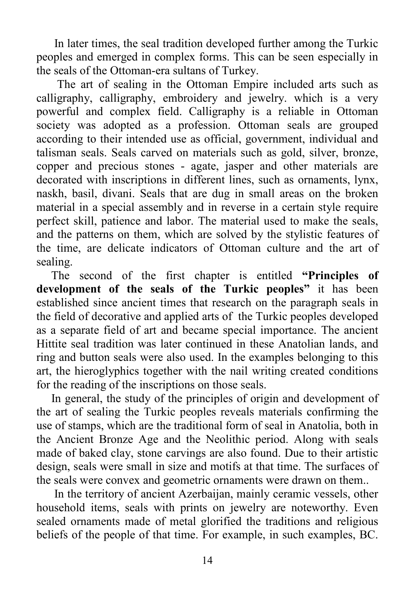In later times, the seal tradition developed further among the Turkic peoples and emerged in complex forms. This can be seen especially in the seals of the Ottoman-era sultans of Turkey.

 The art of sealing in the Ottoman Empire included arts such as calligraphy, calligraphy, embroidery and jewelry. which is a very powerful and complex field. Calligraphy is a reliable in Ottoman society was adopted as a profession. Ottoman seals are grouped according to their intended use as official, government, individual and talisman seals. Seals carved on materials such as gold, silver, bronze, copper and precious stones - agate, jasper and other materials are decorated with inscriptions in different lines, such as ornaments, lynx, naskh, basil, divani. Seals that are dug in small areas on the broken material in a special assembly and in reverse in a certain style require perfect skill, patience and labor. The material used to make the seals, and the patterns on them, which are solved by the stylistic features of the time, are delicate indicators of Ottoman culture and the art of sealing.

 The second of the first chapter is entitled **"Principles of development of the seals of the Turkic peoples"** it has been established since ancient times that research on the paragraph seals in the field of decorative and applied arts of the Turkic peoples developed as a separate field of art and became special importance. The ancient Hittite seal tradition was later continued in these Anatolian lands, and ring and button seals were also used. In the examples belonging to this art, the hieroglyphics together with the nail writing created conditions for the reading of the inscriptions on those seals.

 In general, the study of the principles of origin and development of the art of sealing the Turkic peoples reveals materials confirming the use of stamps, which are the traditional form of seal in Anatolia, both in the Ancient Bronze Age and the Neolithic period. Along with seals made of baked clay, stone carvings are also found. Due to their artistic design, seals were small in size and motifs at that time. The surfaces of the seals were convex and geometric ornaments were drawn on them..

 In the territory of ancient Azerbaijan, mainly ceramic vessels, other household items, seals with prints on jewelry are noteworthy. Even sealed ornaments made of metal glorified the traditions and religious beliefs of the people of that time. For example, in such examples, BC.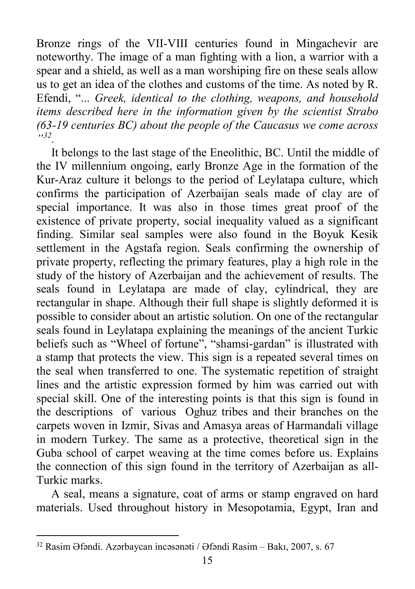Bronze rings of the VII-VIII centuries found in Mingachevir are noteworthy. The image of a man fighting with a lion, a warrior with a spear and a shield, as well as a man worshiping fire on these seals allow us to get an idea of the clothes and customs of the time. As noted by R. Efendi, "... *Greek, identical to the clothing, weapons, and household items described here in the information given by the scientist Strabo (63-19 centuries BC) about the people of the Caucasus we come across "[32](#page-14-0).*

 It belongs to the last stage of the Eneolithic, BC. Until the middle of the IV millennium ongoing, early Bronze Age in the formation of the Kur-Araz culture it belongs to the period of Leylatapa culture, which confirms the participation of Azerbaijan seals made of clay are of special importance. It was also in those times great proof of the existence of private property, social inequality valued as a significant finding. Similar seal samples were also found in the Boyuk Kesik settlement in the Agstafa region. Seals confirming the ownership of private property, reflecting the primary features, play a high role in the study of the history of Azerbaijan and the achievement of results. The seals found in Leylatapa are made of clay, cylindrical, they are rectangular in shape. Although their full shape is slightly deformed it is possible to consider about an artistic solution. On one of the rectangular seals found in Leylatapa explaining the meanings of the ancient Turkic beliefs such as "Wheel of fortune", "shamsi-gardan" is illustrated with a stamp that protects the view. This sign is a repeated several times on the seal when transferred to one. The systematic repetition of straight lines and the artistic expression formed by him was carried out with special skill. One of the interesting points is that this sign is found in the descriptions of various Oghuz tribes and their branches on the carpets woven in Izmir, Sivas and Amasya areas of Harmandali village in modern Turkey. The same as a protective, theoretical sign in the Guba school of carpet weaving at the time comes before us. Explains the connection of this sign found in the territory of Azerbaijan as all-Turkic marks.

 A seal, means a signature, coat of arms or stamp engraved on hard materials. Used throughout history in Mesopotamia, Egypt, Iran and

 $\overline{\phantom{a}}$ 

<span id="page-14-0"></span><sup>32</sup> Rasim Əfəndi. Azərbaycan incəsənəti / Əfəndi Rasim – Bakı, 2007, s. 67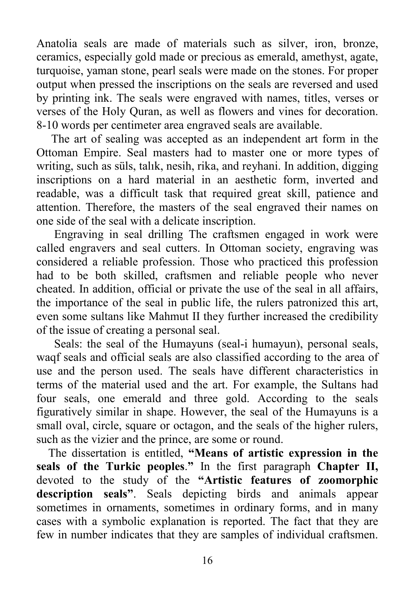Anatolia seals are made of materials such as silver, iron, bronze, ceramics, especially gold made or precious as emerald, amethyst, agate, turquoise, yaman stone, pearl seals were made on the stones. For proper output when pressed the inscriptions on the seals are reversed and used by printing ink. The seals were engraved with names, titles, verses or verses of the Holy Quran, as well as flowers and vines for decoration. 8-10 words per centimeter area engraved seals are available.

 The art of sealing was accepted as an independent art form in the Ottoman Empire. Seal masters had to master one or more types of writing, such as süls, talık, nesih, rika, and reyhani. In addition, digging inscriptions on a hard material in an aesthetic form, inverted and readable, was a difficult task that required great skill, patience and attention. Therefore, the masters of the seal engraved their names on one side of the seal with a delicate inscription.

Engraving in seal drilling The craftsmen engaged in work were called engravers and seal cutters. In Ottoman society, engraving was considered a reliable profession. Those who practiced this profession had to be both skilled, craftsmen and reliable people who never cheated. In addition, official or private the use of the seal in all affairs, the importance of the seal in public life, the rulers patronized this art, even some sultans like Mahmut II they further increased the credibility of the issue of creating a personal seal.

 Seals: the seal of the Humayuns (seal-i humayun), personal seals, waqf seals and official seals are also classified according to the area of use and the person used. The seals have different characteristics in terms of the material used and the art. For example, the Sultans had four seals, one emerald and three gold. According to the seals figuratively similar in shape. However, the seal of the Humayuns is a small oval, circle, square or octagon, and the seals of the higher rulers, such as the vizier and the prince, are some or round.

 The dissertation is entitled, **"Means of artistic expression in the seals of the Turkic peoples**.**"** In the first paragraph **Chapter II,** devoted to the study of the **"Artistic features of zoomorphic description seals"**. Seals depicting birds and animals appear sometimes in ornaments, sometimes in ordinary forms, and in many cases with a symbolic explanation is reported. The fact that they are few in number indicates that they are samples of individual craftsmen.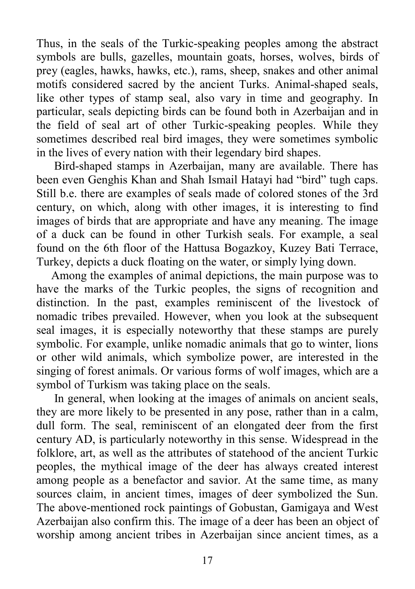Thus, in the seals of the Turkic-speaking peoples among the abstract symbols are bulls, gazelles, mountain goats, horses, wolves, birds of prey (eagles, hawks, hawks, etc.), rams, sheep, snakes and other animal motifs considered sacred by the ancient Turks. Animal-shaped seals, like other types of stamp seal, also vary in time and geography. In particular, seals depicting birds can be found both in Azerbaijan and in the field of seal art of other Turkic-speaking peoples. While they sometimes described real bird images, they were sometimes symbolic in the lives of every nation with their legendary bird shapes.

 Bird-shaped stamps in Azerbaijan, many are available. There has been even Genghis Khan and Shah Ismail Hatayi had "bird" tugh caps. Still b.e. there are examples of seals made of colored stones of the 3rd century, on which, along with other images, it is interesting to find images of birds that are appropriate and have any meaning. The image of a duck can be found in other Turkish seals. For example, a seal found on the 6th floor of the Hattusa Bogazkoy, Kuzey Bati Terrace, Turkey, depicts a duck floating on the water, or simply lying down.

 Among the examples of animal depictions, the main purpose was to have the marks of the Turkic peoples, the signs of recognition and distinction. In the past, examples reminiscent of the livestock of nomadic tribes prevailed. However, when you look at the subsequent seal images, it is especially noteworthy that these stamps are purely symbolic. For example, unlike nomadic animals that go to winter, lions or other wild animals, which symbolize power, are interested in the singing of forest animals. Or various forms of wolf images, which are a symbol of Turkism was taking place on the seals.

 In general, when looking at the images of animals on ancient seals, they are more likely to be presented in any pose, rather than in a calm, dull form. The seal, reminiscent of an elongated deer from the first century AD, is particularly noteworthy in this sense. Widespread in the folklore, art, as well as the attributes of statehood of the ancient Turkic peoples, the mythical image of the deer has always created interest among people as a benefactor and savior. At the same time, as many sources claim, in ancient times, images of deer symbolized the Sun. The above-mentioned rock paintings of Gobustan, Gamigaya and West Azerbaijan also confirm this. The image of a deer has been an object of worship among ancient tribes in Azerbaijan since ancient times, as a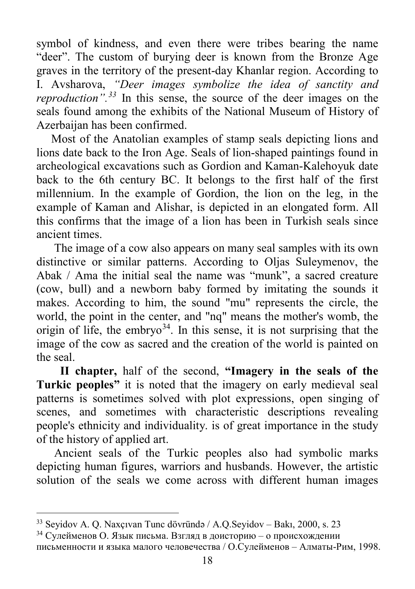symbol of kindness, and even there were tribes bearing the name "deer". The custom of burying deer is known from the Bronze Age graves in the territory of the present-day Khanlar region. According to I. Avsharova, *"Deer images symbolize the idea of sanctity and reproduction". [33](#page-17-0)* In this sense, the source of the deer images on the seals found among the exhibits of the National Museum of History of Azerbaijan has been confirmed.

 Most of the Anatolian examples of stamp seals depicting lions and lions date back to the Iron Age. Seals of lion-shaped paintings found in archeological excavations such as Gordion and Kaman-Kalehoyuk date back to the 6th century BC. It belongs to the first half of the first millennium. In the example of Gordion, the lion on the leg, in the example of Kaman and Alishar, is depicted in an elongated form. All this confirms that the image of a lion has been in Turkish seals since ancient times.

 The image of a cow also appears on many seal samples with its own distinctive or similar patterns. According to Oljas Suleymenov, the Abak / Ama the initial seal the name was "munk", a sacred creature (cow, bull) and a newborn baby formed by imitating the sounds it makes. According to him, the sound "mu" represents the circle, the world, the point in the center, and "nq" means the mother's womb, the origin of life, the embryo<sup>[34](#page-17-1)</sup>. In this sense, it is not surprising that the image of the cow as sacred and the creation of the world is painted on the seal.

 **II chapter,** half of the second, **"Imagery in the seals of the Turkic peoples"** it is noted that the imagery on early medieval seal patterns is sometimes solved with plot expressions, open singing of scenes, and sometimes with characteristic descriptions revealing people's ethnicity and individuality. is of great importance in the study of the history of applied art.

 Ancient seals of the Turkic peoples also had symbolic marks depicting human figures, warriors and husbands. However, the artistic solution of the seals we come across with different human images

<span id="page-17-0"></span> $\overline{\phantom{a}}$ <sup>33</sup> Seyidov A. Q. Naxçıvan Tunc dövründə / A.Q.Seyidov – Bakı, 2000, s. 23

<span id="page-17-1"></span><sup>&</sup>lt;sup>34</sup> Сулейменов О. Язык письма. Взгляд в доисторию – о происхождении письменности и языка малого человечества / О.Сулейменов – Алматы-Рим, 1998.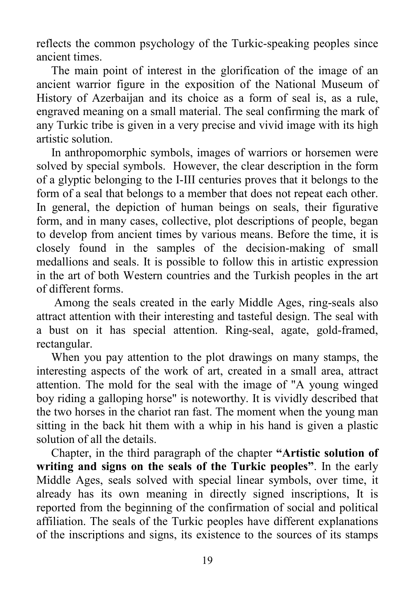reflects the common psychology of the Turkic-speaking peoples since ancient times.

 The main point of interest in the glorification of the image of an ancient warrior figure in the exposition of the National Museum of History of Azerbaijan and its choice as a form of seal is, as a rule, engraved meaning on a small material. The seal confirming the mark of any Turkic tribe is given in a very precise and vivid image with its high artistic solution.

 In anthropomorphic symbols, images of warriors or horsemen were solved by special symbols. However, the clear description in the form of a glyptic belonging to the I-III centuries proves that it belongs to the form of a seal that belongs to a member that does not repeat each other. In general, the depiction of human beings on seals, their figurative form, and in many cases, collective, plot descriptions of people, began to develop from ancient times by various means. Before the time, it is closely found in the samples of the decision-making of small medallions and seals. It is possible to follow this in artistic expression in the art of both Western countries and the Turkish peoples in the art of different forms.

 Among the seals created in the early Middle Ages, ring-seals also attract attention with their interesting and tasteful design. The seal with a bust on it has special attention. Ring-seal, agate, gold-framed, rectangular.

 When you pay attention to the plot drawings on many stamps, the interesting aspects of the work of art, created in a small area, attract attention. The mold for the seal with the image of "A young winged boy riding a galloping horse" is noteworthy. It is vividly described that the two horses in the chariot ran fast. The moment when the young man sitting in the back hit them with a whip in his hand is given a plastic solution of all the details.

 Chapter, in the third paragraph of the chapter **"Artistic solution of writing and signs on the seals of the Turkic peoples"**. In the early Middle Ages, seals solved with special linear symbols, over time, it already has its own meaning in directly signed inscriptions, It is reported from the beginning of the confirmation of social and political affiliation. The seals of the Turkic peoples have different explanations of the inscriptions and signs, its existence to the sources of its stamps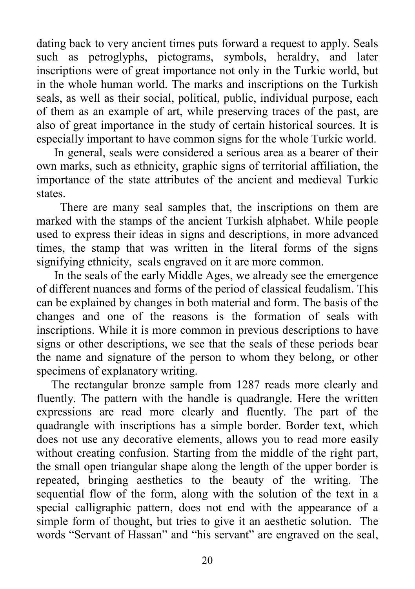dating back to very ancient times puts forward a request to apply. Seals such as petroglyphs, pictograms, symbols, heraldry, and later inscriptions were of great importance not only in the Turkic world, but in the whole human world. The marks and inscriptions on the Turkish seals, as well as their social, political, public, individual purpose, each of them as an example of art, while preserving traces of the past, are also of great importance in the study of certain historical sources. It is especially important to have common signs for the whole Turkic world.

 In general, seals were considered a serious area as a bearer of their own marks, such as ethnicity, graphic signs of territorial affiliation, the importance of the state attributes of the ancient and medieval Turkic states.

 There are many seal samples that, the inscriptions on them are marked with the stamps of the ancient Turkish alphabet. While people used to express their ideas in signs and descriptions, in more advanced times, the stamp that was written in the literal forms of the signs signifying ethnicity, seals engraved on it are more common.

 In the seals of the early Middle Ages, we already see the emergence of different nuances and forms of the period of classical feudalism. This can be explained by changes in both material and form. The basis of the changes and one of the reasons is the formation of seals with inscriptions. While it is more common in previous descriptions to have signs or other descriptions, we see that the seals of these periods bear the name and signature of the person to whom they belong, or other specimens of explanatory writing.

 The rectangular bronze sample from 1287 reads more clearly and fluently. The pattern with the handle is quadrangle. Here the written expressions are read more clearly and fluently. The part of the quadrangle with inscriptions has a simple border. Border text, which does not use any decorative elements, allows you to read more easily without creating confusion. Starting from the middle of the right part, the small open triangular shape along the length of the upper border is repeated, bringing aesthetics to the beauty of the writing. The sequential flow of the form, along with the solution of the text in a special calligraphic pattern, does not end with the appearance of a simple form of thought, but tries to give it an aesthetic solution. The words "Servant of Hassan" and "his servant" are engraved on the seal,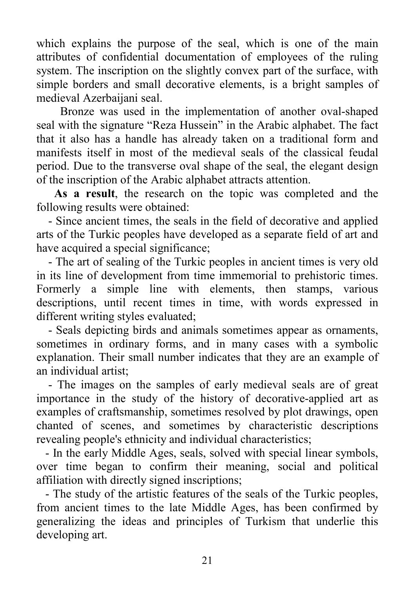which explains the purpose of the seal, which is one of the main attributes of confidential documentation of employees of the ruling system. The inscription on the slightly convex part of the surface, with simple borders and small decorative elements, is a bright samples of medieval Azerbaijani seal.

 Bronze was used in the implementation of another oval-shaped seal with the signature "Reza Hussein" in the Arabic alphabet. The fact that it also has a handle has already taken on a traditional form and manifests itself in most of the medieval seals of the classical feudal period. Due to the transverse oval shape of the seal, the elegant design of the inscription of the Arabic alphabet attracts attention.

 **As a result**, the research on the topic was completed and the following results were obtained:

 - Since ancient times, the seals in the field of decorative and applied arts of the Turkic peoples have developed as a separate field of art and have acquired a special significance;

 - The art of sealing of the Turkic peoples in ancient times is very old in its line of development from time immemorial to prehistoric times. Formerly a simple line with elements, then stamps, various descriptions, until recent times in time, with words expressed in different writing styles evaluated;

 - Seals depicting birds and animals sometimes appear as ornaments, sometimes in ordinary forms, and in many cases with a symbolic explanation. Their small number indicates that they are an example of an individual artist;

 - The images on the samples of early medieval seals are of great importance in the study of the history of decorative-applied art as examples of craftsmanship, sometimes resolved by plot drawings, open chanted of scenes, and sometimes by characteristic descriptions revealing people's ethnicity and individual characteristics;

 - In the early Middle Ages, seals, solved with special linear symbols, over time began to confirm their meaning, social and political affiliation with directly signed inscriptions;

 - The study of the artistic features of the seals of the Turkic peoples, from ancient times to the late Middle Ages, has been confirmed by generalizing the ideas and principles of Turkism that underlie this developing art.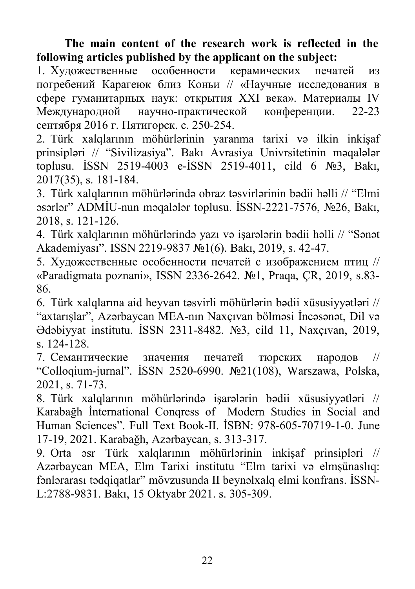### **The main content of the research work is reflected in the following articles published by the applicant on the subject:**

1. Художественные особенности керамических печатей из погребений Карагеюк близ Коньи // «Научные исследования в сфере гуманитарных наук: открытия XXI века». Материалы IV Международной научно-практической конференции. 22-23 сентября 2016 г. Пятигорск. с. 250-254.

2. Türk xalqlarının möhürlərinin yaranma tarixi və ilkin inkişaf prinsipləri // "Sivilizasiya". Bakı Avrasiya Univrsitetinin məqalələr toplusu. İSSN 2519-4003 e-İSSN 2519-4011, cild 6 №3, Bakı, 2017(35), s. 181-184.

3. Türk xalqlarının möhürlərində obraz təsvirlərinin bədii həlli // "Elmi əsərlər" ADMİU-nun məqalələr toplusu. İSSN-2221-7576, №26, Bakı, 2018, s. 121-126.

4. Türk xalqlarının möhürlərində yazı və işarələrin bədii həlli // "Sənət Akademiyası". ISSN 2219-9837 №1(6). Bakı, 2019, s. 42-47.

5. Художественные особенности печатей с изображением птиц // «Paradigmata poznani», ISSN 2336-2642. №1, Praqa, ÇR, 2019, s.83- 86.

6. Türk xalqlarına aid heyvan təsvirli möhürlərin bədii xüsusiyyətləri // "axtarışlar", Azərbaycan MEA-nın Naxçıvan bölməsi İncəsənət, Dil və Ədəbiyyat institutu. İSSN 2311-8482. №3, cild 11, Naxçıvan, 2019, s. 124-128.

7. Семантические значения печатей тюрских народов // "Colloqium-jurnal". İSSN 2520-6990. №21(108), Warszawa, Polska, 2021, s. 71-73.

8. Türk xalqlarının möhürlərində işarələrin bədii xüsusiyyətləri // Karabağh İnternational Conqress of Modern Studies in Social and Human Sciences". Full Text Book-II. İSBN: 978-605-70719-1-0. June 17-19, 2021. Karabağh, Azərbaycan, s. 313-317.

9. Orta əsr Türk xalqlarının möhürlərinin inkişaf prinsipləri // Azərbaycan MEA, Elm Tarixi institutu "Elm tarixi və elmşünaslıq: fənlərarası tədqiqatlar" mövzusunda II beynəlxalq elmi konfrans. İSSN-L:2788-9831. Bakı, 15 Oktyabr 2021. s. 305-309.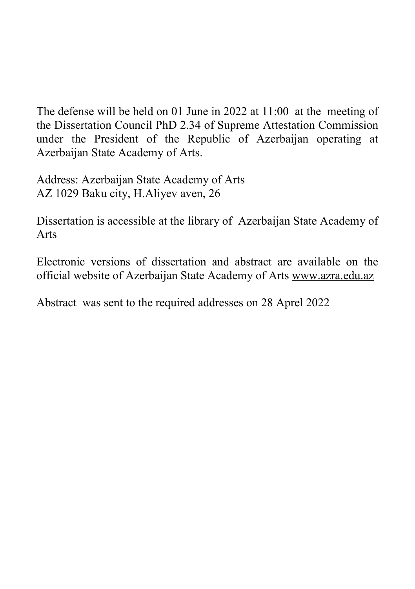The defense will be held on 01 June in 2022 at 11:00 at the meeting of the Dissertation Council PhD 2.34 of Supreme Attestation Commission under the President of the Republic of Azerbaijan operating at Azerbaijan State Academy of Arts.

Address: Azerbaijan State Academy of Arts AZ 1029 Baku city, H.Aliyev aven, 26

Dissertation is accessible at the library of Azerbaijan State Academy of Arts

Electronic versions of dissertation and abstract are available on the official website of Azerbaijan State Academy of Arts [www.azra.edu.az](http://www.azra.edu.az/)

Abstract was sent to the required addresses on 28 Aprel 2022